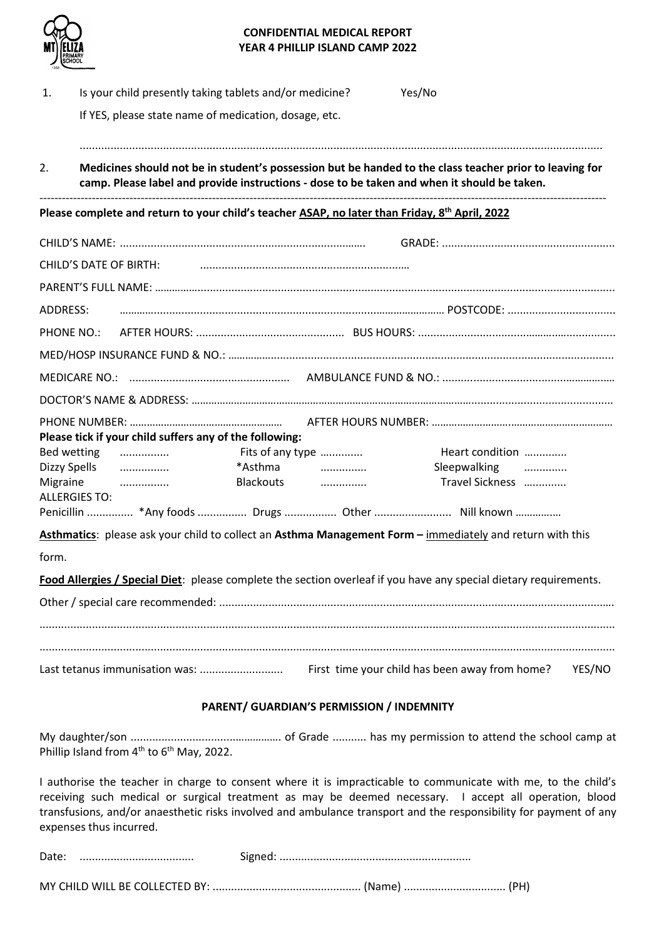

## **CONFIDENTIAL MEDICAL REPORT YEAR 4 PHILLIP ISLAND CAMP 2022**

| 1.                                                                                                         | Is your child presently taking tablets and/or medicine?                                                                                                                                                |                               | Yes/No                          |        |  |  |
|------------------------------------------------------------------------------------------------------------|--------------------------------------------------------------------------------------------------------------------------------------------------------------------------------------------------------|-------------------------------|---------------------------------|--------|--|--|
|                                                                                                            | If YES, please state name of medication, dosage, etc.                                                                                                                                                  |                               |                                 |        |  |  |
| 2.                                                                                                         | Medicines should not be in student's possession but be handed to the class teacher prior to leaving for<br>camp. Please label and provide instructions - dose to be taken and when it should be taken. |                               |                                 |        |  |  |
| Please complete and return to your child's teacher ASAP, no later than Friday, 8 <sup>th</sup> April, 2022 |                                                                                                                                                                                                        |                               |                                 |        |  |  |
|                                                                                                            |                                                                                                                                                                                                        |                               |                                 |        |  |  |
|                                                                                                            | CHILD'S DATE OF BIRTH:                                                                                                                                                                                 |                               |                                 |        |  |  |
|                                                                                                            |                                                                                                                                                                                                        |                               |                                 |        |  |  |
| <b>ADDRESS:</b>                                                                                            |                                                                                                                                                                                                        |                               |                                 |        |  |  |
| <b>PHONE NO.:</b>                                                                                          |                                                                                                                                                                                                        |                               |                                 |        |  |  |
|                                                                                                            |                                                                                                                                                                                                        |                               |                                 |        |  |  |
|                                                                                                            |                                                                                                                                                                                                        |                               |                                 |        |  |  |
|                                                                                                            |                                                                                                                                                                                                        |                               |                                 |        |  |  |
|                                                                                                            | Please tick if your child suffers any of the following:                                                                                                                                                |                               |                                 |        |  |  |
|                                                                                                            | Bed wetting<br>Fits of any type<br>.                                                                                                                                                                   |                               | Heart condition                 |        |  |  |
| Migraine                                                                                                   | *Asthma<br>Dizzy Spells<br>Blackouts                                                                                                                                                                   | $\overline{\phantom{a}}$<br>. | Sleepwalking<br>Travel Sickness |        |  |  |
|                                                                                                            | <b>ALLERGIES TO:</b>                                                                                                                                                                                   |                               |                                 |        |  |  |
|                                                                                                            | Penicillin  *Any foods  Drugs  Other  Nill known                                                                                                                                                       |                               |                                 |        |  |  |
|                                                                                                            | Asthmatics: please ask your child to collect an Asthma Management Form - immediately and return with this                                                                                              |                               |                                 |        |  |  |
| form.                                                                                                      |                                                                                                                                                                                                        |                               |                                 |        |  |  |
|                                                                                                            | Food Allergies / Special Diet: please complete the section overleaf if you have any special dietary requirements.                                                                                      |                               |                                 |        |  |  |
|                                                                                                            |                                                                                                                                                                                                        |                               |                                 |        |  |  |
|                                                                                                            |                                                                                                                                                                                                        |                               |                                 | YES/NO |  |  |
| PARENT/ GUARDIAN'S PERMISSION / INDEMNITY                                                                  |                                                                                                                                                                                                        |                               |                                 |        |  |  |

## My daughter/son ..................................……………. of Grade ........... has my permission to attend the school camp at Phillip Island from  $4^{th}$  to  $6^{th}$  May, 2022.

I authorise the teacher in charge to consent where it is impracticable to communicate with me, to the child's receiving such medical or surgical treatment as may be deemed necessary. I accept all operation, blood transfusions, and/or anaesthetic risks involved and ambulance transport and the responsibility for payment of any expenses thus incurred.

| -<br>Date | $\cdot$ |
|-----------|---------|
|           |         |

MY CHILD WILL BE COLLECTED BY: ................................................ (Name) ................................. (PH)